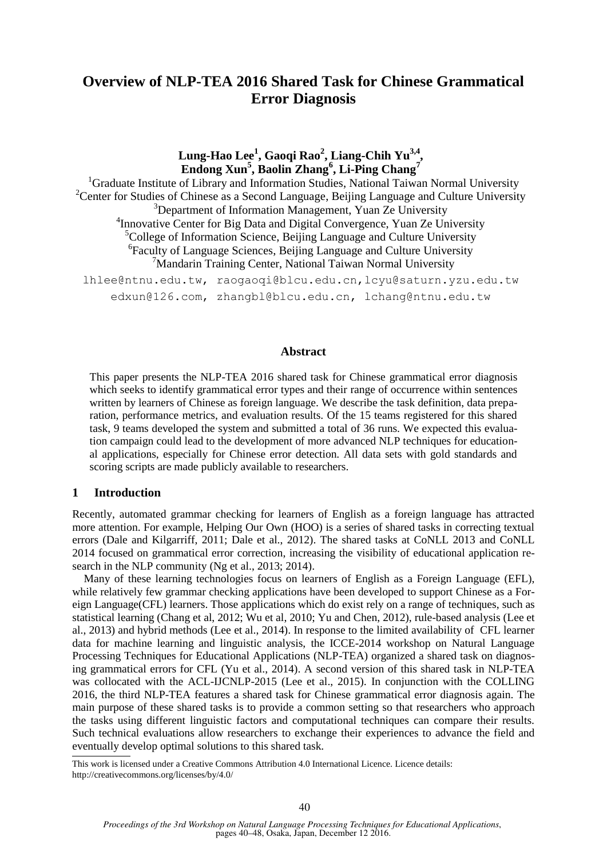# **Overview of NLP-TEA 2016 Shared Task for Chinese Grammatical Error Diagnosis**

**Lung-Hao Lee<sup>1</sup> , Gaoqi Rao<sup>2</sup> , Liang-Chih Yu3,4 , Endong Xun<sup>5</sup> , Baolin Zhang<sup>6</sup> , Li-Ping Chang<sup>7</sup>**

<sup>1</sup>Graduate Institute of Library and Information Studies, National Taiwan Normal University <sup>2</sup>Center for Studies of Chinese as a Second Language, Beijing Language and Culture University <sup>3</sup>Department of Information Management, Yuan Ze University <sup>4</sup> Innovative Center for Big Data and Digital Convergence, Yuan Ze University  ${}^{5}$ College of Information Science, Beijing Language and Culture University 6 Faculty of Language Sciences, Beijing Language and Culture University <sup>7</sup>Mandarin Training Center, National Taiwan Normal University

lhlee@ntnu.edu.tw, raogaoqi@blcu.edu.cn,lcyu@saturn.yzu.edu.tw edxun@126.com, zhangbl@blcu.edu.cn, lchang@ntnu.edu.tw

### **Abstract**

This paper presents the NLP-TEA 2016 shared task for Chinese grammatical error diagnosis which seeks to identify grammatical error types and their range of occurrence within sentences written by learners of Chinese as foreign language. We describe the task definition, data preparation, performance metrics, and evaluation results. Of the 15 teams registered for this shared task, 9 teams developed the system and submitted a total of 36 runs. We expected this evaluation campaign could lead to the development of more advanced NLP techniques for educational applications, especially for Chinese error detection. All data sets with gold standards and scoring scripts are made publicly available to researchers.

### **1 Introduction**

Recently, automated grammar checking for learners of English as a foreign language has attracted more attention. For example, Helping Our Own (HOO) is a series of shared tasks in correcting textual errors (Dale and Kilgarriff, 2011; Dale et al., 2012). The shared tasks at CoNLL 2013 and CoNLL 2014 focused on grammatical error correction, increasing the visibility of educational application research in the NLP community (Ng et al., 2013; 2014).

Many of these learning technologies focus on learners of English as a Foreign Language (EFL), while relatively few grammar checking applications have been developed to support Chinese as a Foreign Language(CFL) learners. Those applications which do exist rely on a range of techniques, such as statistical learning (Chang et al, 2012; Wu et al, 2010; Yu and Chen, 2012), rule-based analysis (Lee et al., 2013) and hybrid methods (Lee et al., 2014). In response to the limited availability of CFL learner data for machine learning and linguistic analysis, the ICCE-2014 workshop on Natural Language Processing Techniques for Educational Applications (NLP-TEA) organized a shared task on diagnosing grammatical errors for CFL (Yu et al., 2014). A second version of this shared task in NLP-TEA was collocated with the ACL-IJCNLP-2015 (Lee et al., 2015). In conjunction with the COLLING 2016, the third NLP-TEA features a shared task for Chinese grammatical error diagnosis again. The main purpose of these shared tasks is to provide a common setting so that researchers who approach the tasks using different linguistic factors and computational techniques can compare their results. Such technical evaluations allow researchers to exchange their experiences to advance the field and eventually develop optimal solutions to this shared task.

This work is licensed under a Creative Commons Attribution 4.0 International Licence. Licence details: http://creativecommons.org/licenses/by/4.0/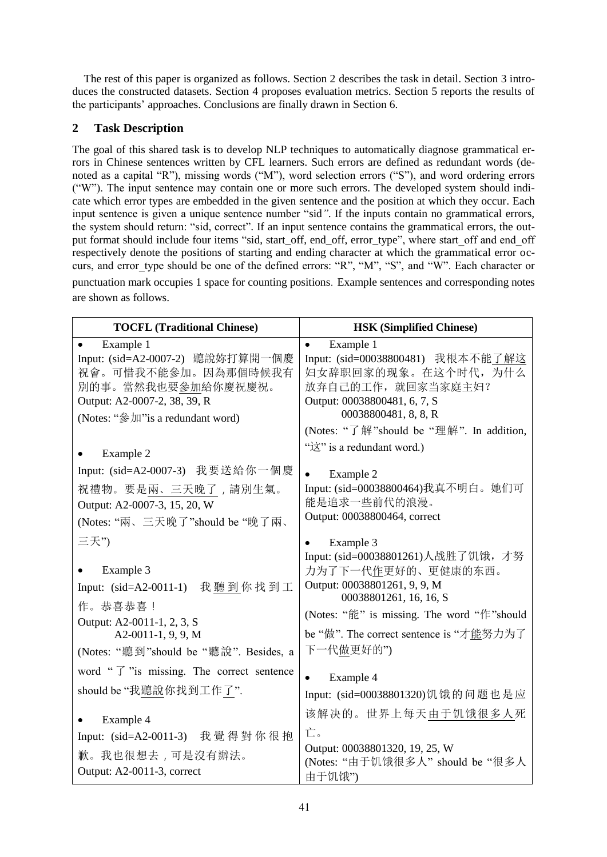The rest of this paper is organized as follows. Section 2 describes the task in detail. Section 3 introduces the constructed datasets. Section 4 proposes evaluation metrics. Section 5 reports the results of the participants' approaches. Conclusions are finally drawn in Section 6.

# **2 Task Description**

The goal of this shared task is to develop NLP techniques to automatically diagnose grammatical errors in Chinese sentences written by CFL learners. Such errors are defined as redundant words (denoted as a capital "R"), missing words ("M"), word selection errors ("S"), and word ordering errors ("W"). The input sentence may contain one or more such errors. The developed system should indicate which error types are embedded in the given sentence and the position at which they occur. Each input sentence is given a unique sentence number "sid*"*. If the inputs contain no grammatical errors, the system should return: "sid, correct". If an input sentence contains the grammatical errors, the output format should include four items "sid, start\_off, end\_off, error\_type", where start off and end off respectively denote the positions of starting and ending character at which the grammatical error occurs, and error type should be one of the defined errors: "R", "M", "S", and "W". Each character or punctuation mark occupies 1 space for counting positions. Example sentences and corresponding notes are shown as follows.

| <b>TOCFL (Traditional Chinese)</b>                                                                                                                                                      | <b>HSK (Simplified Chinese)</b>                                                                                                                                                                                                           |
|-----------------------------------------------------------------------------------------------------------------------------------------------------------------------------------------|-------------------------------------------------------------------------------------------------------------------------------------------------------------------------------------------------------------------------------------------|
| Example 1<br>Input: (sid=A2-0007-2) 聽說妳打算開一個慶<br>祝會。可惜我不能參加。因為那個時候我有<br>別的事。當然我也要參加給你慶祝慶祝。<br>Output: A2-0007-2, 38, 39, R<br>(Notes: "參加" is a redundant word)                         | Example 1<br>$\bullet$<br>Input: (sid=00038800481) 我根本不能了解这<br>妇女辞职回家的现象。在这个时代,为什么<br>放弃自己的工作, 就回家当家庭主妇?<br>Output: 00038800481, 6, 7, S<br>00038800481, 8, 8, R<br>(Notes: "了解"should be "理解". In addition,<br>"这" is a redundant word.) |
| Example 2<br>Input: (sid=A2-0007-3) 我要送給你一個慶<br>祝禮物。要是兩、三天晚了,請別生氣。<br>Output: A2-0007-3, 15, 20, W<br>(Notes: "兩、三天晚了"should be "晚了兩、                                                   | Example 2<br>Input: (sid=00038800464)我真不明白。她们可<br>能是追求一些前代的浪漫。<br>Output: 00038800464, correct                                                                                                                                            |
| 三天")<br>Example 3<br>Input: (sid=A2-0011-1) 我聽到你找到工<br>作。恭喜恭喜!<br>Output: A2-0011-1, 2, 3, S<br>A2-0011-1, 9, 9, M<br>(Notes: "聽到"should be "聽說". Besides, a                            | Example 3<br>Input: (sid=00038801261)人战胜了饥饿, 才努<br>力为了下一代作更好的、更健康的东西。<br>Output: 00038801261, 9, 9, M<br>00038801261, 16, 16, S<br>(Notes: "能" is missing. The word "作"should<br>be "做". The correct sentence is "才能努力为了<br>下一代做更好的")     |
| word " $\overrightarrow{J}$ "is missing. The correct sentence<br>should be "我聽說你找到工作了".<br>Example 4<br>Input: (sid=A2-0011-3) 我覺得對你很抱<br>歉。我也很想去,可是沒有辦法。<br>Output: A2-0011-3, correct | Example 4<br>Input: (sid=00038801320)饥饿的问题也是应<br>该解决的。世界上每天由于饥饿很多人死<br>亡。<br>Output: 00038801320, 19, 25, W<br>(Notes: "由于饥饿很多人" should be "很多人<br>由于饥饿")                                                                                 |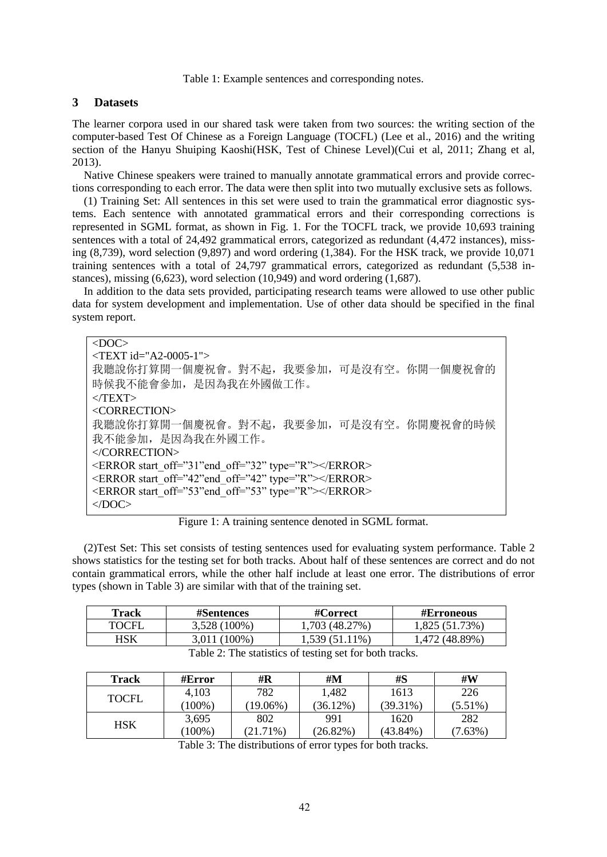Table 1: Example sentences and corresponding notes.

## **3 Datasets**

The learner corpora used in our shared task were taken from two sources: the writing section of the computer-based Test Of Chinese as a Foreign Language (TOCFL) (Lee et al., 2016) and the writing section of the Hanyu Shuiping Kaoshi(HSK, Test of Chinese Level)(Cui et al, 2011; Zhang et al, 2013).

Native Chinese speakers were trained to manually annotate grammatical errors and provide corrections corresponding to each error. The data were then split into two mutually exclusive sets as follows.

(1) Training Set: All sentences in this set were used to train the grammatical error diagnostic systems. Each sentence with annotated grammatical errors and their corresponding corrections is represented in SGML format, as shown in Fig. 1. For the TOCFL track, we provide 10,693 training sentences with a total of 24,492 grammatical errors, categorized as redundant (4,472 instances), missing (8,739), word selection (9,897) and word ordering (1,384). For the HSK track, we provide 10,071 training sentences with a total of 24,797 grammatical errors, categorized as redundant (5,538 instances), missing  $(6,623)$ , word selection  $(10,949)$  and word ordering  $(1,687)$ .

In addition to the data sets provided, participating research teams were allowed to use other public data for system development and implementation. Use of other data should be specified in the final system report.

<DOC> <TEXT id="A2-0005-1"> 我聽說你打算開一個慶祝會。對不起,我要參加,可是沒有空。你開一個慶祝會的 時候我不能會參加,是因為我在外國做工作。  $\langle$ TEXT $>$ <CORRECTION> 我聽說你打算開一個慶祝會。對不起,我要參加,可是沒有空。你開慶祝會的時候 我不能參加,是因為我在外國工作。 </CORRECTION> <ERROR start\_off="31"end\_off="32" type="R"></ERROR> <ERROR start\_off="42"end\_off="42" type="R"></ERROR> <ERROR start\_off="53"end\_off="53" type="R"></ERROR>  $<$ /DOC>

Figure 1: A training sentence denoted in SGML format.

(2)Test Set: This set consists of testing sentences used for evaluating system performance. Table 2 shows statistics for the testing set for both tracks. About half of these sentences are correct and do not contain grammatical errors, while the other half include at least one error. The distributions of error types (shown in Table 3) are similar with that of the training set.

| Track        | <b>#Sentences</b> | #Correct                                                                                                          | <b>#Erroneous</b> |
|--------------|-------------------|-------------------------------------------------------------------------------------------------------------------|-------------------|
| <b>TOCFL</b> | 3,528 (100%)      | 1,703 (48.27%)                                                                                                    | 1,825 (51.73%)    |
| HSK          | 3,011 (100%)      | 1,539 (51.11%)                                                                                                    | .472 (48.89%)     |
|              | T 11 2 T 11 1     | $\mathcal{C}$ , and $\mathcal{C}$ , and $\mathcal{C}$ , and $\mathcal{C}$ , and $\mathcal{C}$ , and $\mathcal{C}$ |                   |

| Table 2: The statistics of testing set for both tracks. |  |  |  |  |
|---------------------------------------------------------|--|--|--|--|
|                                                         |  |  |  |  |

| Track        | #Error    | #R          | #M          | #S          | #W         |
|--------------|-----------|-------------|-------------|-------------|------------|
| <b>TOCFL</b> | 4,103     | 782         | 1,482       | 1613        | 226        |
|              | $(100\%)$ | $(19.06\%)$ | $(36.12\%)$ | (39.31%)    | $(5.51\%)$ |
| HSK          | 3,695     | 802         | 991         | 1620        | 282        |
|              | $(100\%)$ | $(21.71\%)$ | $(26.82\%)$ | $(43.84\%)$ | (7.63%)    |

Table 3: The distributions of error types for both tracks.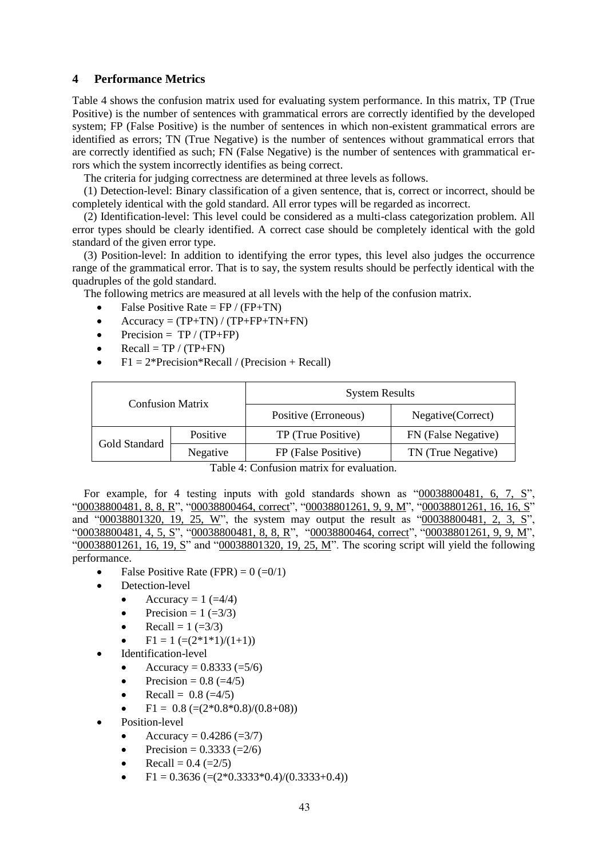# **4 Performance Metrics**

Table 4 shows the confusion matrix used for evaluating system performance. In this matrix, TP (True Positive) is the number of sentences with grammatical errors are correctly identified by the developed system; FP (False Positive) is the number of sentences in which non-existent grammatical errors are identified as errors; TN (True Negative) is the number of sentences without grammatical errors that are correctly identified as such; FN (False Negative) is the number of sentences with grammatical errors which the system incorrectly identifies as being correct.

The criteria for judging correctness are determined at three levels as follows.

(1) Detection-level: Binary classification of a given sentence, that is, correct or incorrect, should be completely identical with the gold standard. All error types will be regarded as incorrect.

(2) Identification-level: This level could be considered as a multi-class categorization problem. All error types should be clearly identified. A correct case should be completely identical with the gold standard of the given error type.

(3) Position-level: In addition to identifying the error types, this level also judges the occurrence range of the grammatical error. That is to say, the system results should be perfectly identical with the quadruples of the gold standard.

The following metrics are measured at all levels with the help of the confusion matrix.

- False Positive Rate =  $FP / (FP + TN)$
- $\bullet$  Accuracy = (TP+TN) / (TP+FP+TN+FN)
- Precision =  $TP / (TP + FP)$
- Recall =  $TP / (TP + FN)$
- $F1 = 2*Precision*Recall / (Precision + Recall)$

| <b>Confusion Matrix</b> |          | <b>System Results</b> |                     |
|-------------------------|----------|-----------------------|---------------------|
|                         |          | Positive (Erroneous)  | Negative(Correct)   |
| Gold Standard           | Positive | TP (True Positive)    | FN (False Negative) |
|                         | Negative | FP (False Positive)   | TN (True Negative)  |

Table 4: Confusion matrix for evaluation.

For example, for 4 testing inputs with gold standards shown as  $"00038800481, 6, 7,$ "00038800481, 8, 8, R", "00038800464, correct", "00038801261, 9, 9, M", "00038801261, 16, 16, S" and "00038801320, 19, 25, W", the system may output the result as "00038800481, 2, 3, S", "00038800481, 4, 5, S", "00038800481, 8, 8, R", "00038800464, correct", "00038801261, 9, 9, M", "00038801261, 16, 19, S" and "00038801320, 19, 25, M". The scoring script will yield the following performance.

- False Positive Rate (FPR) =  $0 (=0/1)$
- Detection-level
	- Accuracy  $= 1$  ( $=4/4$ )
	- Precision =  $1 (=3/3)$
	- Recall =  $1 (=3/3)$
	- $F1 = 1$  (= $(2*1*1)/(1+1)$ )
- Identification-level
	- Accuracy =  $0.8333 (=5/6)$
	- Precision =  $0.8$  (=4/5)
	- Recall =  $0.8$  (=4/5)
	- $F1 = 0.8$  (= $(2*0.8*0.8)/(0.8+0.8)$ )
- Position-level
	- Accuracy =  $0.4286 (=3/7)$
	- Precision =  $0.3333 (=2/6)$
	- Recall =  $0.4$  (= $2/5$ )
	- $F1 = 0.3636$  (= $(2*0.3333*0.4)/(0.3333+0.4)$ )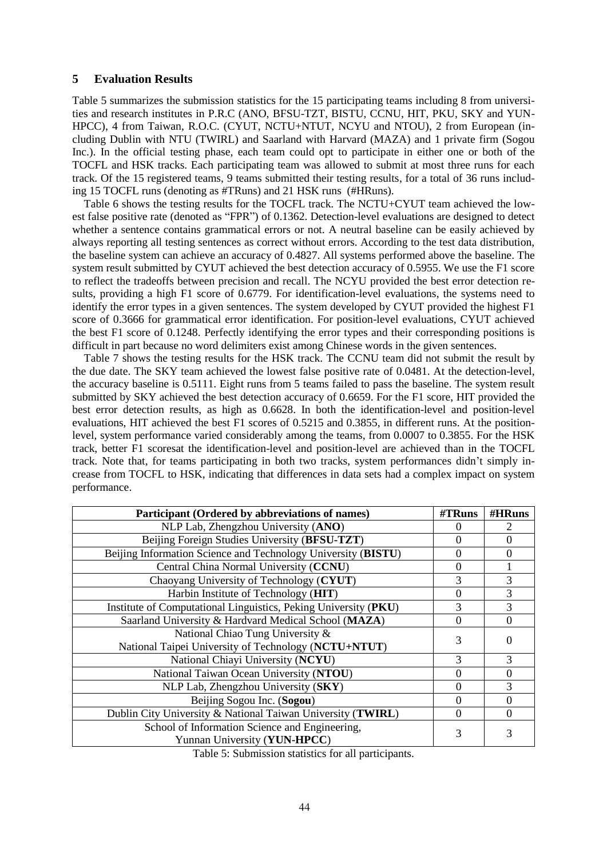# **5 Evaluation Results**

Table 5 summarizes the submission statistics for the 15 participating teams including 8 from universities and research institutes in P.R.C (ANO, BFSU-TZT, BISTU, CCNU, HIT, PKU, SKY and YUN-HPCC), 4 from Taiwan, R.O.C. (CYUT, NCTU+NTUT, NCYU and NTOU), 2 from European (including Dublin with NTU (TWIRL) and Saarland with Harvard (MAZA) and 1 private firm (Sogou Inc.). In the official testing phase, each team could opt to participate in either one or both of the TOCFL and HSK tracks. Each participating team was allowed to submit at most three runs for each track. Of the 15 registered teams, 9 teams submitted their testing results, for a total of 36 runs including 15 TOCFL runs (denoting as #TRuns) and 21 HSK runs (#HRuns).

Table 6 shows the testing results for the TOCFL track. The NCTU+CYUT team achieved the lowest false positive rate (denoted as "FPR") of 0.1362. Detection-level evaluations are designed to detect whether a sentence contains grammatical errors or not. A neutral baseline can be easily achieved by always reporting all testing sentences as correct without errors. According to the test data distribution, the baseline system can achieve an accuracy of 0.4827. All systems performed above the baseline. The system result submitted by CYUT achieved the best detection accuracy of 0.5955. We use the F1 score to reflect the tradeoffs between precision and recall. The NCYU provided the best error detection results, providing a high F1 score of 0.6779. For identification-level evaluations, the systems need to identify the error types in a given sentences. The system developed by CYUT provided the highest F1 score of 0.3666 for grammatical error identification. For position-level evaluations, CYUT achieved the best F1 score of 0.1248. Perfectly identifying the error types and their corresponding positions is difficult in part because no word delimiters exist among Chinese words in the given sentences.

Table 7 shows the testing results for the HSK track. The CCNU team did not submit the result by the due date. The SKY team achieved the lowest false positive rate of 0.0481. At the detection-level, the accuracy baseline is 0.5111. Eight runs from 5 teams failed to pass the baseline. The system result submitted by SKY achieved the best detection accuracy of 0.6659. For the F1 score, HIT provided the best error detection results, as high as 0.6628. In both the identification-level and position-level evaluations, HIT achieved the best F1 scores of 0.5215 and 0.3855, in different runs. At the positionlevel, system performance varied considerably among the teams, from 0.0007 to 0.3855. For the HSK track, better F1 scoresat the identification-level and position-level are achieved than in the TOCFL track. Note that, for teams participating in both two tracks, system performances didn't simply increase from TOCFL to HSK, indicating that differences in data sets had a complex impact on system performance.

| Participant (Ordered by abbreviations of names)                 | #TRuns         | #HRuns           |
|-----------------------------------------------------------------|----------------|------------------|
| NLP Lab, Zhengzhou University (ANO)                             | $\Omega$       |                  |
| Beijing Foreign Studies University (BFSU-TZT)                   | 0              | $\Omega$         |
| Beijing Information Science and Technology University (BISTU)   | $\theta$       | 0                |
| Central China Normal University (CCNU)                          | $\overline{0}$ |                  |
| Chaoyang University of Technology (CYUT)                        | 3              | 3                |
| Harbin Institute of Technology (HIT)                            | 0              | 3                |
| Institute of Computational Linguistics, Peking University (PKU) | 3              | 3                |
| Saarland University & Hardvard Medical School (MAZA)            | $\Omega$       | $\Omega$         |
| National Chiao Tung University &                                | 3              | $\left( \right)$ |
| National Taipei University of Technology (NCTU+NTUT)            |                |                  |
| National Chiayi University (NCYU)                               | 3              | 3                |
| National Taiwan Ocean University (NTOU)                         | $\Omega$       | 0                |
| NLP Lab, Zhengzhou University (SKY)                             | $\Omega$       | 3                |
| Beijing Sogou Inc. (Sogou)                                      | $\Omega$       | $\Omega$         |
| Dublin City University & National Taiwan University (TWIRL)     | $\Omega$       | $\Omega$         |
| School of Information Science and Engineering,                  | 3              |                  |
| Yunnan University (YUN-HPCC)                                    |                |                  |

Table 5: Submission statistics for all participants.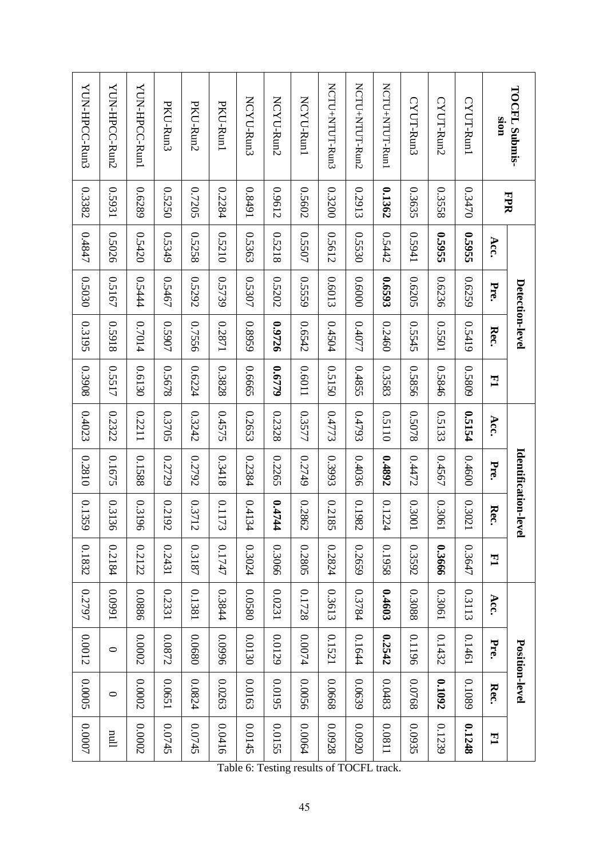| <b>TOCFL Submis-</b>        | <b>FPR</b> |              |        | Detection-level |        |        | Identification-lev | ള്     |        |        |         | Position-level |          |
|-----------------------------|------------|--------------|--------|-----------------|--------|--------|--------------------|--------|--------|--------|---------|----------------|----------|
| <b>CIOIS</b>                |            | Acc.         | Pre.   | Rec.            | 그      | Acc.   | Pre.               | Rec.   | 크      | Acc.   | Pre.    | Rec.           | 크        |
| CYUT-Run1                   | 0.3470     | 35955        | 0.6259 | 0.5419          | 0.5809 | 15154  | 0.4600             | 0.3021 | 0.3647 | 0.3113 | 0.1461  | 0.1089         | 0.1248   |
| CYUT-Run2                   | 0.3558     | <b>95955</b> | 0.6236 | 0.5501          | 0.5846 | 0.5133 | 0.4567             | 0.3061 | 0.3666 | 0.3061 | 0.1432  | 0.1092         | 0.1239   |
| CYUT-Run3                   | 0.3635     | 179941       | 0.6205 | 0.5545          | 0.5856 | 0.5078 | 0.4472             | 10030  | 0.3592 | 0.3088 | 0.1196  | 0.0768         | 0.0935   |
| NCTUTHNTUT-Run              | 0.1362     | 0.5442       | 6593   | 0.2460          | 0.3583 | 0.5110 | 0.4892             | 0.1224 | 0.1958 | 0.4603 | 0.2542  | 0.0483         | 118000   |
| NCTU <sub>+</sub> NTUT-Run2 | 0.2913     | 0.5530       | 0.6000 | 0.4077          | 0.4855 | 0.4793 | 0.4036             | 0.1982 | 0.2659 | 0.3784 | 0.1644  | 0.0639         | 0.0920   |
| NCTUTHNTUT-Ru3              | 0.3200     | 0.5612       | 0.6013 | 0.4504          | 0.5150 | 0.4773 | 0.3993             | 0.2185 | 0.2824 | 0.3613 | 0.1521  | 89000          | 0.0928   |
| NCYU-Run1                   | 0.5602     | 0.5507       | 0.5559 | 0.6542          | 11090  | 0.3577 | 0.2749             | 0.2862 | 0.2805 | 0.1728 | 0.0074  | 0.0056         | 0.0064   |
| NCYU-Run2                   | 0.9612     | 0.5218       | 0.5202 | 0.9726          | 0.6779 | 0.2328 | 0.2265             | 0.4744 | 0.3066 | 0.0231 | 0.0129  | 20195          | 0.0155   |
| NCYU-Run3                   | 0.8491     | 0.5363       | 0.5307 | 0.8959          | 0.6665 | 0.2653 | 0.2384             | 1344   | 0.3024 | 0.0580 | 0.0130  | 0.0163         | 0.0145   |
| PKU-Run1                    | 0.2284     | 0.5210       | 0.5739 | 12871           | 0.3828 | 0.4575 | 0.3418             | 0.1173 | 0.1747 | 0.3844 | 9660'0  | 0.0263         | 0.0416   |
| PKU-Run2                    | 0.7205     | 0.5258       | 0.5292 | 0.7556          | 0.6224 | 0.3242 | 0.2792             | 0.3712 | 0.3187 | 0.1381 | 0.0680  | 0.0824         | 0.0745   |
| PKU-Run3                    | 0.5250     | 0.5349       | 0.5467 | 0.5907          | 0.5678 | 0.3705 | 0.2729             | 0.2192 | 0.2431 | 0.2331 | 0.0872  | 0.0651         | 0.0745   |
| YUN-HPCC-Run1               | 0.6289     | 0.5420       | 0.5444 | 0.7014          | 0.6130 | 0.2211 | 0.1588             | 0.3196 | 0.2122 | 0.0886 | 0.0002  | 0.0002         | 0.0002   |
| YUN-HPCC-Run2               | 12931      | 0.5026       | 0.5167 | 81650           | 0.5517 | 0.2322 | 0.1675             | 0.3136 | 0.2184 | 1660'0 | $\circ$ | $\circ$        | $\lim$   |
| YUN-HPCC-Run3               | 0.3382     | 0.4847       | 0.5030 | 0.3195          | 80680  | 0.4023 | 0.2810             | 0.1359 | 0.1832 | 0.2797 | 0.0012  | <b>2000.0</b>  | $0.0007$ |

Table 6: Testing results of TOCFL track.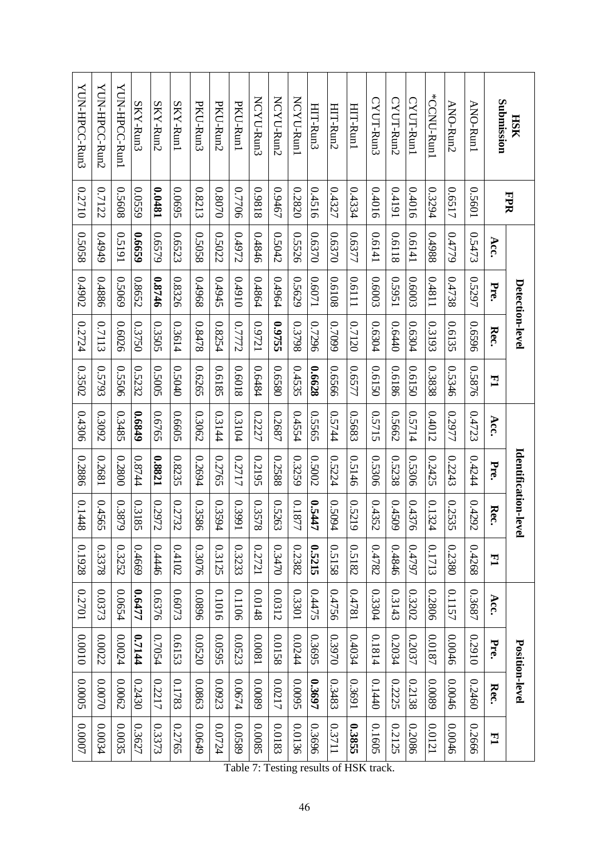| <b>HSK</b>    | <b>FPR</b> |        |        | Detection-level |              |        | Identification-lev | ള      |        |        |        | Position-level |              |
|---------------|------------|--------|--------|-----------------|--------------|--------|--------------------|--------|--------|--------|--------|----------------|--------------|
| Submission    |            | Acc.   | Pre.   | Rec.            | $\mathbf{H}$ | Acc.   | Pre.               | Rec.   | 그      | Acc.   | Pre.   | Rec.           | $\mathbf{E}$ |
| ANO-Run1      | 0.5601     | 0.5473 | 0.5297 | 0.6596          | 0.5876       | 0.4723 | 0.4244             | 0.4292 | 0.4268 | 0.3687 | 0.2910 | 0.2460         | 0.2666       |
| ANO-Run2      | 0.6517     | 0.4779 | 0.4738 | 0.6135          | 0.5346       | 0.2977 | 0.2243             | 0.2535 | 0.2380 | 0.1157 | 0.0046 | 0.0046         | 0.0046       |
| *CCNU-Run1    | 0.3294     | 886+0  | 11870  | 0.3193          | 0.3838       | 0.4012 | 0.2425             | 0.1324 | 0.1713 | 0.2806 | 7810.0 | 6800'0         | 0.0121       |
| CYUT-Run1     | 0.4016     | 1419.0 | 0.6003 | 0.6304          | 0.6150       | 0.5714 | 0.5306             | 0.4376 | 0.4797 | 0.3202 | 0.2037 | 82138          | 0.2086       |
| CYUT-Run2     | 16170      | 0.6118 | 12951  | 0.6440          | 0.6186       | 0.5662 | 0.5238             | 0.4509 | 0.4846 | 0.3143 | 12034  | 0.2225         | 0.2125       |
| CYUT-Run3     | 0.4016     | 1419:0 | 0.6003 | 0.6304          | 0.6150       | 0.5715 | 0.5306             | 0.4352 | 0.4782 | 0.3304 | 0.1814 | 0.1440         | 0.1605       |
| HIT-Run1      | 1334       | 0.6377 | 1119'0 | 0.7120          | 129.0        | 0.5683 | 0.5146             | 0.5219 | 0.5182 | 1874.0 | 12034  | 16930          | 0.3855       |
| HIT-Run2      | 0.4327     | 0.6370 | 0.6108 | 66020           | 0.6566       | 0.5744 | 0.5224             | 0.5094 | 0.5158 | 0.4756 | 0.3970 | 6.3483         | 11230        |
| HIT-Run3      | 0.4516     | 0.6370 | 12090  | 0.7296          | 8299'0       | 0.5565 | 0.5002             | 0.5447 | 0.5215 | 0.4475 | 0.3695 | 0.3697         | 0.3696       |
| NCYU-Run1     | 0.2820     | 0.5526 | 0.5629 | 0.3798          | 0.4535       | 0.4554 | 0.3259             | 0.1877 | 0.2382 | 0.3301 | 0.0244 | 56000          | 0.0136       |
| NCYU-Run2     | 0.9467     | 0.5042 | 1964.0 | 0.9755          | 0.6580       | 0.2687 | 0.2588             | 0.5263 | 0.3470 | 0.0312 | 8210.0 | 0.0217         | 0.0183       |
| NCYU-Run3     | 81860      | 0.4846 | 0.4864 | 12160           | 0.6484       | 0.2227 | 0.2195             | 0.3578 | 12721  | 0.0148 | 1800'0 | 6800'0         | 0.0085       |
| PKU-Runl      | 0.7706     | 0.4972 | 01670  | 0.7772          | 8109.0       | 0.3104 | 17717              | 16680  | 0.3233 | 0.1106 | 0.0523 | 0.0674         | 0.0589       |
| PKU-Run2      | 0.8070     | 0.5022 | 27670  | 0.8254          | 0.6185       | 0.3144 | 0.2765             | 0.3594 | 0.3125 | 0.1016 | 56505  | 0.0923         | 0.0724       |
| PKU-Run3      | 0.8213     | 0.5058 | 896#0  | 0.8478          | 0.6265       | 0.3062 | 0.2694             | 0.3586 | 0.3076 | 9680'0 | 0.0520 | 0.0863         | 0.0649       |
| SKY-Run1      | 2690.0     | 0.6523 | 0.8326 | 0.3614          | 0.5040       | 0.6605 | 0.8235             | 0.2732 | 0.4102 | 0.6073 | 0.6153 | 0.1783         | 0.2765       |
| $SKY-Run2$    | 18+00      | 0.6579 | 0.8746 | 0.3505          | 50050        | 0.6765 | 18821              | 2972   | 0.4446 | 0.6376 | 0.7054 | 0.2217         | 0.3373       |
| SKY-Run3      | 0.0559     | 69990  | 0.8652 | 0.3750          | 0.5232       | 0.6849 | 0.8744             | 0.3185 | 0.4669 | 0.6477 | 1144   | 0.2430         | 0.3627       |
| YUN-HPCC-Run1 | 0.5608     | 16120  | 69050  | 0.6026          | 0.5506       | 0.3485 | 0.2800             | 0.3879 | 0.3252 | 0.0654 | 0.0024 | 0.0062         | 0.0035       |
| YUN-HPCC-Run2 | 0.7122     | 67670  | 0.4886 | 0.7113          | 0.5793       | 0.3092 | 0.2681             | 0.4565 | 0.3378 | 0.0373 | 0.0022 | 0.0070         | 0.0034       |
| YUN-HPCC-Run3 | 0.2710     | 0.5058 | 0.4902 | 0.2724          | 0.3502       | 0.4306 | 0.2886             | 0.1448 | 0.1928 | 10220  | 0100.0 | <b>200000</b>  | 0.0007       |

Table 7: Testing results of HSK track.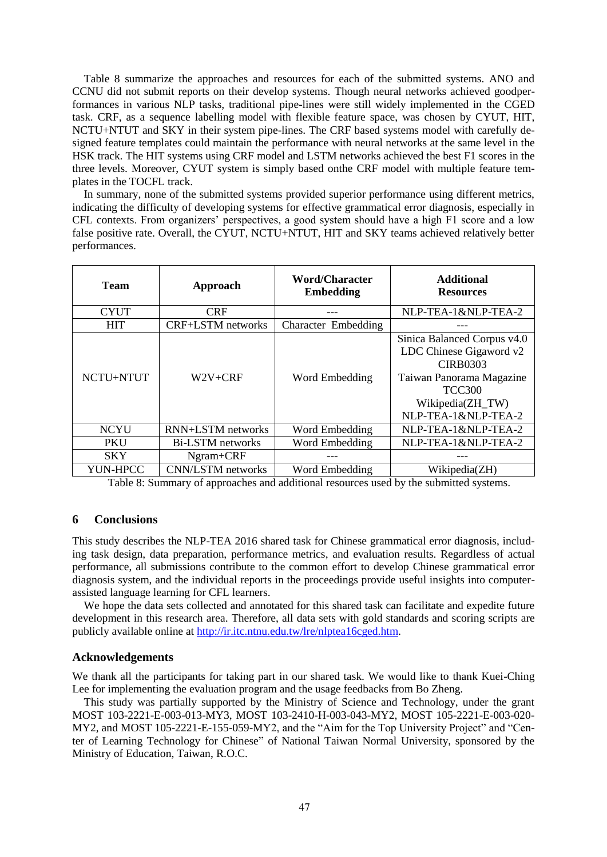Table 8 summarize the approaches and resources for each of the submitted systems. ANO and CCNU did not submit reports on their develop systems. Though neural networks achieved goodperformances in various NLP tasks, traditional pipe-lines were still widely implemented in the CGED task. CRF, as a sequence labelling model with flexible feature space, was chosen by CYUT, HIT, NCTU+NTUT and SKY in their system pipe-lines. The CRF based systems model with carefully designed feature templates could maintain the performance with neural networks at the same level in the HSK track. The HIT systems using CRF model and LSTM networks achieved the best F1 scores in the three levels. Moreover, CYUT system is simply based onthe CRF model with multiple feature templates in the TOCFL track.

In summary, none of the submitted systems provided superior performance using different metrics, indicating the difficulty of developing systems for effective grammatical error diagnosis, especially in CFL contexts. From organizers' perspectives, a good system should have a high F1 score and a low false positive rate. Overall, the CYUT, NCTU+NTUT, HIT and SKY teams achieved relatively better performances.

| <b>Team</b> | Approach                 | Word/Character<br><b>Embedding</b> | <b>Additional</b><br><b>Resources</b>                                                                                                                             |
|-------------|--------------------------|------------------------------------|-------------------------------------------------------------------------------------------------------------------------------------------------------------------|
| <b>CYUT</b> | <b>CRF</b>               |                                    | NLP-TEA-1&NLP-TEA-2                                                                                                                                               |
| <b>HIT</b>  | <b>CRF+LSTM</b> networks | Character Embedding                |                                                                                                                                                                   |
| NCTU+NTUT   | $W2V + CRF$              | Word Embedding                     | Sinica Balanced Corpus v4.0<br>LDC Chinese Gigaword v2<br><b>CIRB0303</b><br>Taiwan Panorama Magazine<br><b>TCC300</b><br>Wikipedia(ZH_TW)<br>NLP-TEA-1&NLP-TEA-2 |
| <b>NCYU</b> | <b>RNN+LSTM</b> networks | Word Embedding                     | NLP-TEA-1&NLP-TEA-2                                                                                                                                               |
| <b>PKU</b>  | <b>Bi-LSTM</b> networks  | Word Embedding                     | NLP-TEA-1&NLP-TEA-2                                                                                                                                               |
| <b>SKY</b>  | Ngram+CRF                |                                    |                                                                                                                                                                   |
| YUN-HPCC    | <b>CNN/LSTM</b> networks | Word Embedding                     | Wikipedia(ZH)                                                                                                                                                     |

Table 8: Summary of approaches and additional resources used by the submitted systems.

# **6 Conclusions**

This study describes the NLP-TEA 2016 shared task for Chinese grammatical error diagnosis, including task design, data preparation, performance metrics, and evaluation results. Regardless of actual performance, all submissions contribute to the common effort to develop Chinese grammatical error diagnosis system, and the individual reports in the proceedings provide useful insights into computerassisted language learning for CFL learners.

We hope the data sets collected and annotated for this shared task can facilitate and expedite future development in this research area. Therefore, all data sets with gold standards and scoring scripts are publicly available online at http://ir.itc.ntnu.edu.tw/lre/nlptea16cged.htm.

# **Acknowledgements**

We thank all the participants for taking part in our shared task. We would like to thank Kuei-Ching Lee for implementing the evaluation program and the usage feedbacks from Bo Zheng.

This study was partially supported by the Ministry of Science and Technology, under the grant MOST 103-2221-E-003-013-MY3, MOST 103-2410-H-003-043-MY2, MOST 105-2221-E-003-020- MY2, and MOST 105-2221-E-155-059-MY2, and the "Aim for the Top University Project" and "Center of Learning Technology for Chinese" of National Taiwan Normal University, sponsored by the Ministry of Education, Taiwan, R.O.C.